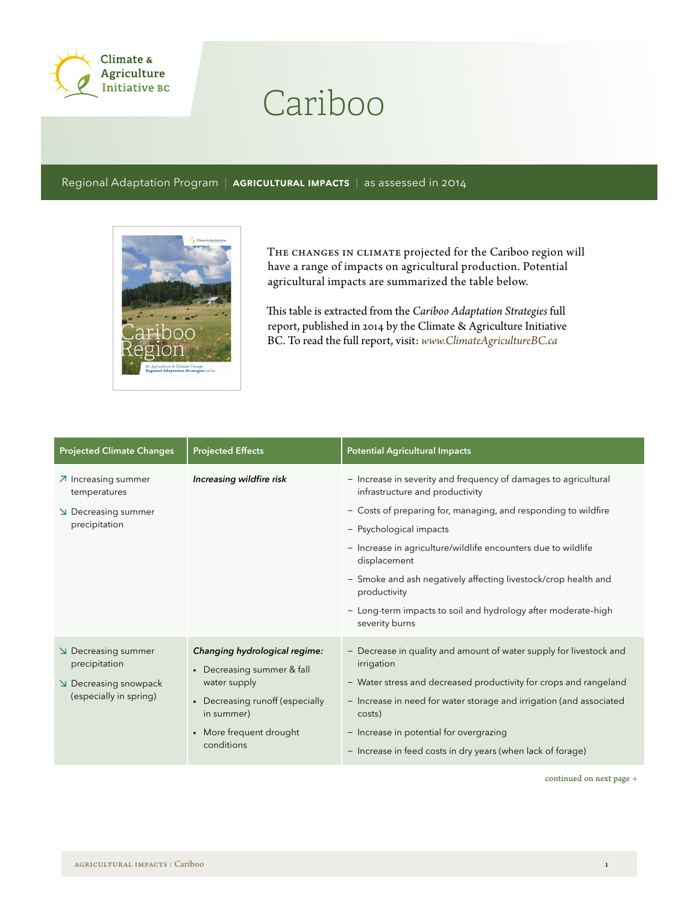

## Cariboo

Regional Adaptation Program | AGRICULTURAL IMPACTS | as assessed in 2014



THE CHANGES IN CLIMATE projected for the Cariboo region will have a range of impacts on agricultural production. Potential agricultural impacts are summarized the table below.

This table is extracted from the *Cariboo Adaptation Strategies* full report, published in 2014 by the Climate & Agriculture Initiative BC. To read the full report, visit: *www.ClimateAgricultureBC.ca*

| <b>Projected Climate Changes</b>                                                    | <b>Projected Effects</b>                                                                                                                                              | <b>Potential Agricultural Impacts</b>                                                                                                                                                                                                                                                                                                                                                                                                                 |
|-------------------------------------------------------------------------------------|-----------------------------------------------------------------------------------------------------------------------------------------------------------------------|-------------------------------------------------------------------------------------------------------------------------------------------------------------------------------------------------------------------------------------------------------------------------------------------------------------------------------------------------------------------------------------------------------------------------------------------------------|
| 7 Increasing summer<br>temperatures<br>Decreasing summer<br>precipitation           | Increasing wildfire risk                                                                                                                                              | - Increase in severity and frequency of damages to agricultural<br>infrastructure and productivity<br>- Costs of preparing for, managing, and responding to wildfire<br>- Psychological impacts<br>- Increase in agriculture/wildlife encounters due to wildlife<br>displacement<br>- Smoke and ash negatively affecting livestock/crop health and<br>productivity<br>- Long-term impacts to soil and hydrology after moderate-high<br>severity burns |
| Decreasing summer<br>precipitation<br>Decreasing snowpack<br>(especially in spring) | Changing hydrological regime:<br>• Decreasing summer & fall<br>water supply<br>• Decreasing runoff (especially<br>in summer)<br>• More frequent drought<br>conditions | - Decrease in quality and amount of water supply for livestock and<br>irrigation<br>- Water stress and decreased productivity for crops and rangeland<br>- Increase in need for water storage and irrigation (and associated<br>costs)<br>- Increase in potential for overgrazing<br>- Increase in feed costs in dry years (when lack of forage)                                                                                                      |

continued on next page  $\rightarrow$